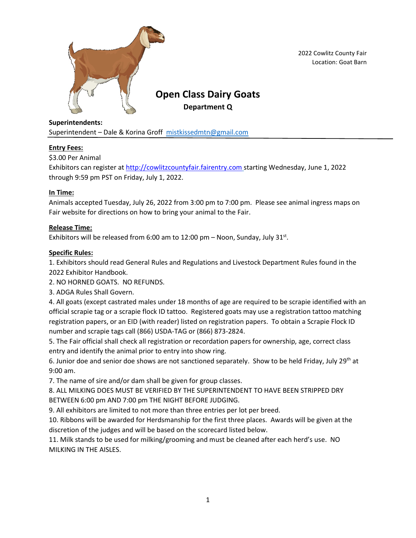

2022 Cowlitz County Fair Location: Goat Barn

# **Open Class Dairy Goats Department Q**

**Superintendents:** Superintendent - Dale & Korina Groff [mistkissedmtn@gmail.com](mailto:mistkissedmtn@gmail.com)

# **Entry Fees:**

\$3.00 Per Animal

Exhibitors can register at [http://cowlitzcountyfair.fairentry.com](http://cowlitzcountyfair.fairentry.com/) starting Wednesday, June 1, 2022 through 9:59 pm PST on Friday, July 1, 2022.

## **In Time:**

Animals accepted Tuesday, July 26, 2022 from 3:00 pm to 7:00 pm. Please see animal ingress maps on Fair website for directions on how to bring your animal to the Fair.

## **Release Time:**

Exhibitors will be released from 6:00 am to  $12:00$  pm - Noon, Sunday, July  $31^{st}$ .

## **Specific Rules:**

1. Exhibitors should read General Rules and Regulations and Livestock Department Rules found in the 2022 Exhibitor Handbook.

2. NO HORNED GOATS. NO REFUNDS.

3. ADGA Rules Shall Govern.

4. All goats (except castrated males under 18 months of age are required to be scrapie identified with an official scrapie tag or a scrapie flock ID tattoo. Registered goats may use a registration tattoo matching registration papers, or an EID (with reader) listed on registration papers. To obtain a Scrapie Flock ID number and scrapie tags call (866) USDA-TAG or (866) 873-2824.

5. The Fair official shall check all registration or recordation papers for ownership, age, correct class entry and identify the animal prior to entry into show ring.

6. Junior doe and senior doe shows are not sanctioned separately. Show to be held Friday, July 29<sup>th</sup> at 9:00 am.

7. The name of sire and/or dam shall be given for group classes.

8. ALL MILKING DOES MUST BE VERIFIED BY THE SUPERINTENDENT TO HAVE BEEN STRIPPED DRY BETWEEN 6:00 pm AND 7:00 pm THE NIGHT BEFORE JUDGING.

9. All exhibitors are limited to not more than three entries per lot per breed.

10. Ribbons will be awarded for Herdsmanship for the first three places. Awards will be given at the discretion of the judges and will be based on the scorecard listed below.

11. Milk stands to be used for milking/grooming and must be cleaned after each herd's use. NO MILKING IN THE AISLES.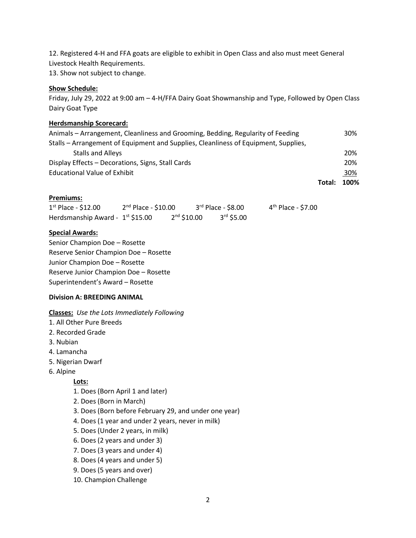12. Registered 4-H and FFA goats are eligible to exhibit in Open Class and also must meet General Livestock Health Requirements.

13. Show not subject to change.

#### **Show Schedule:**

Friday, July 29, 2022 at 9:00 am – 4-H/FFA Dairy Goat Showmanship and Type, Followed by Open Class Dairy Goat Type

# **Herdsmanship Scorecard:**

|                                                                                     | Total: | 100% |
|-------------------------------------------------------------------------------------|--------|------|
| <b>Educational Value of Exhibit</b>                                                 |        | 30%  |
| Display Effects – Decorations, Signs, Stall Cards                                   |        | 20%  |
| <b>Stalls and Alleys</b>                                                            |        | 20%  |
| Stalls – Arrangement of Equipment and Supplies, Cleanliness of Equipment, Supplies, |        |      |
| Animals – Arrangement, Cleanliness and Grooming, Bedding, Regularity of Feeding     |        | 30%  |

#### **Premiums:**

| $1st$ Place - \$12.00                 | $2nd$ Place - \$10.00 |               | $3rd$ Place - \$8.00 | 4 <sup>th</sup> Place - \$7.00 |
|---------------------------------------|-----------------------|---------------|----------------------|--------------------------------|
| Herdsmanship Award - $1^{st}$ \$15.00 |                       | $2nd$ \$10.00 | $3rd$ \$5.00         |                                |

#### **Special Awards:**

Senior Champion Doe – Rosette Reserve Senior Champion Doe – Rosette Junior Champion Doe – Rosette Reserve Junior Champion Doe – Rosette Superintendent's Award – Rosette

#### **Division A: BREEDING ANIMAL**

**Classes:** *Use the Lots Immediately Following*

- 1. All Other Pure Breeds
- 2. Recorded Grade
- 3. Nubian
- 4. Lamancha
- 5. Nigerian Dwarf
- 6. Alpine

# **Lots:**

- 1. Does (Born April 1 and later)
- 2. Does (Born in March)
- 3. Does (Born before February 29, and under one year)
- 4. Does (1 year and under 2 years, never in milk)
- 5. Does (Under 2 years, in milk)
- 6. Does (2 years and under 3)
- 7. Does (3 years and under 4)
- 8. Does (4 years and under 5)
- 9. Does (5 years and over)
- 10. Champion Challenge